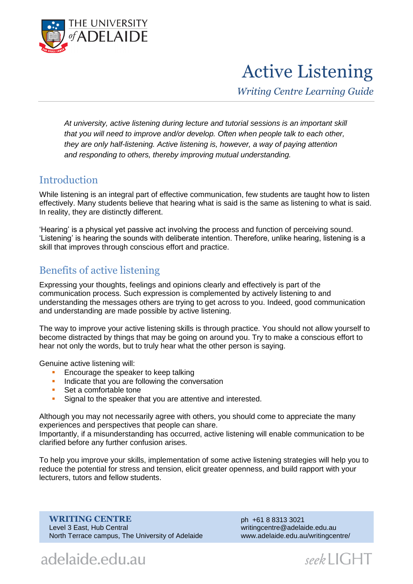

# Active Listening

*Writing Centre Learning Guide*

*At university, active listening during lecture and tutorial sessions is an important skill that you will need to improve and/or develop. Often when people talk to each other, they are only half-listening. Active listening is, however, a way of paying attention and responding to others, thereby improving mutual understanding.*

## **Introduction**

While listening is an integral part of effective communication, few students are taught how to listen effectively. Many students believe that hearing what is said is the same as listening to what is said. In reality, they are distinctly different.

'Hearing' is a physical yet passive act involving the process and function of perceiving sound. 'Listening' is hearing the sounds with deliberate intention. Therefore, unlike hearing, listening is a skill that improves through conscious effort and practice.

## Benefits of active listening

Expressing your thoughts, feelings and opinions clearly and effectively is part of the communication process. Such expression is complemented by actively listening to and understanding the messages others are trying to get across to you. Indeed, good communication and understanding are made possible by active listening.

The way to improve your active listening skills is through practice. You should not allow yourself to become distracted by things that may be going on around you. Try to make a conscious effort to hear not only the words, but to truly hear what the other person is saying.

Genuine active listening will:

- **Encourage the speaker to keep talking**
- Indicate that you are following the conversation
- Set a comfortable tone
- **Signal to the speaker that you are attentive and interested.**

Although you may not necessarily agree with others, you should come to appreciate the many experiences and perspectives that people can share.

Importantly, if a misunderstanding has occurred, active listening will enable communication to be clarified before any further confusion arises.

To help you improve your skills, implementation of some active listening strategies will help you to reduce the potential for stress and tension, elicit greater openness, and build rapport with your lecturers, tutors and fellow students.

**WRITING CENTRE** Level 3 East, Hub Central North Terrace campus, The University of Adelaide ph +61 8 8313 3021 writingcentre@adelaide.edu.au www.adelaide.edu.au/writingcentre/

# adelaide.edu.au

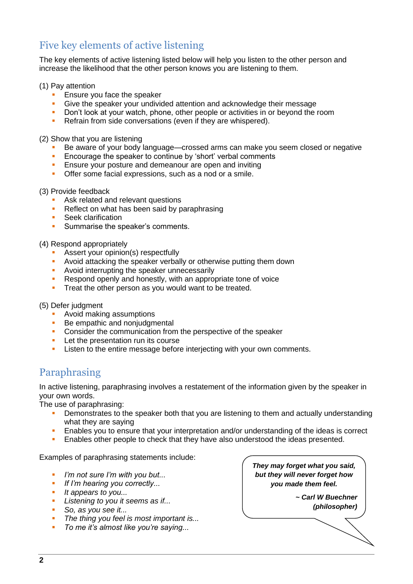# Five key elements of active listening

The key elements of active listening listed below will help you listen to the other person and increase the likelihood that the other person knows you are listening to them.

#### (1) Pay attention

- **Ensure you face the speaker<br>
Bive the speaker your undivident**
- Give the speaker your undivided attention and acknowledge their message<br>Don't look at your watch phone, other people or activities in or beyond the
- Don't look at your watch, phone, other people or activities in or beyond the room
- Refrain from side conversations (even if they are whispered).

(2) Show that you are listening

- Be aware of your body language—crossed arms can make you seem closed or negative<br>Fincourage the speaker to continue by 'short' verbal comments
- **Encourage the speaker to continue by 'short' verbal comments**<br>**Ensure your posture and demeanour are open and inviting**
- **Ensure your posture and demeanour are open and inviting<br>
Citer some facial expressions, such as a nod or a smile**
- Offer some facial expressions, such as a nod or a smile.

#### (3) Provide feedback

- **Ask related and relevant questions**
- Reflect on what has been said by paraphrasing<br>Seek clarification
- Seek clarification
- **Summarise the speaker's comments.**

#### (4) Respond appropriately

- **Assert your opinion(s) respectfully**
- **Avoid attacking the speaker verbally or otherwise putting them down**
- **Avoid interrupting the speaker unnecessarily**
- Respond openly and honestly, with an appropriate tone of voice
- **Treat the other person as you would want to be treated.**

(5) Defer judgment

- Avoid making assumptions<br>• Be empathic and noniudom
- Be empathic and nonjudgmental
- **Consider the communication from the perspective of the speaker**
- **Let the presentation run its course**
- **EXECT** Listen to the entire message before interjecting with your own comments.

## Paraphrasing

In active listening, paraphrasing involves a restatement of the information given by the speaker in your own words.

The use of paraphrasing:

- Demonstrates to the speaker both that you are listening to them and actually understanding what they are saying
- Enables you to ensure that your interpretation and/or understanding of the ideas is correct
- **Enables other people to check that they have also understood the ideas presented.**

Examples of paraphrasing statements include:

- *I'm not sure I'm with you but...*
- *If I'm hearing you correctly...*
- *It appears to you...*
- *Listening to you it seems as if...*
- *So, as you see it...*
- *The thing you feel is most important is...*
- *To me it's almost like you're saying...*

*They may forget what you said, but they will never forget how you made them feel.*

> *~ Carl W Buechner (philosopher)*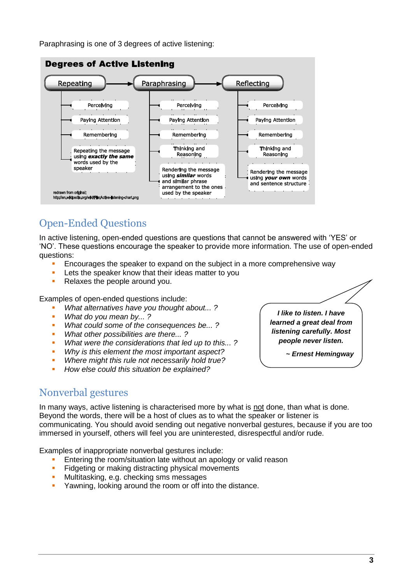Paraphrasing is one of 3 degrees of active listening:



# Open-Ended Questions

In active listening, open-ended questions are questions that cannot be answered with 'YES' or 'NO'. These questions encourage the speaker to provide more information. The use of open-ended questions:

- **Encourages the speaker to expand on the subject in a more comprehensive way**
- Lets the speaker know that their ideas matter to you<br>Relaxes the people around you
- Relaxes the people around you.

Examples of open-ended questions include:

- *What alternatives have you thought about... ?*
- *What do you mean by... ?*
- *What could some of the consequences be... ?*
- *What other possibilities are there... ?*
- *What were the considerations that led up to this... ?*
- *Why is this element the most important aspect?*
- *Where might this rule not necessarily hold true?*
- *How else could this situation be explained?*

## Nonverbal gestures

In many ways, active listening is characterised more by what is not done, than what is done. Beyond the words, there will be a host of clues as to what the speaker or listener is communicating. You should avoid sending out negative nonverbal gestures, because if you are too immersed in yourself, others will feel you are uninterested, disrespectful and/or rude.

Examples of inappropriate nonverbal gestures include:

- Entering the room/situation late without an apology or valid reason
- **Fidgeting or making distracting physical movements**
- **Multitasking, e.g. checking sms messages**
- **Yawning, looking around the room or off into the distance.**

*I like to listen. I have learned a great deal from listening carefully. Most people never listen.*

*~ [Ernest Hemingway](http://www.quoteland.com/author.asp?AUTHOR_ID=182)*

**3**